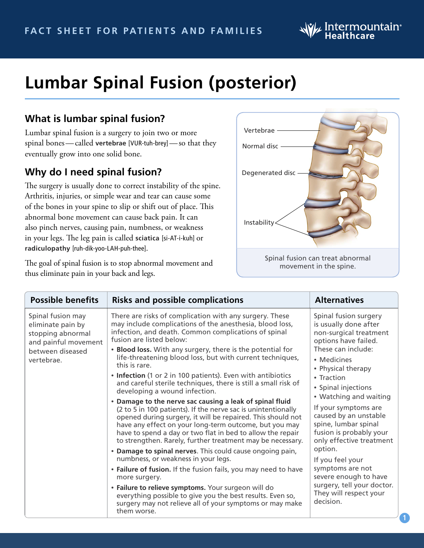

**1**

# **Lumbar Spinal Fusion (posterior)**

### **What is lumbar spinal fusion?**

Lumbar spinal fusion is a surgery to join two or more spinal bones—called **vertebrae** [VUR-tuh-brey]—so that they eventually grow into one solid bone.

#### **Why do I need spinal fusion?**

The surgery is usually done to correct instability of the spine. Arthritis, injuries, or simple wear and tear can cause some of the bones in your spine to slip or shift out of place. This abnormal bone movement can cause back pain. It can also pinch nerves, causing pain, numbness, or weakness in your legs. The leg pain is called **sciatica** [si-AT-i-kuh] or **radiculopathy** [ruh-dik-yoo-LAH-puh-thee].

The goal of spinal fusion is to stop abnormal movement and thus eliminate pain in your back and legs.



| <b>Possible benefits</b>                                                                                              | <b>Risks and possible complications</b>                                                                                                                                                                                                                                                                                                                                                                                                                                                                                                                                                                                                                                                                                                                                                                                                                                                                                                                                                                                                                                                                                                                                                                                                                                                        | <b>Alternatives</b>                                                                                                                                                                                                                                                                                                                                                                                                                                                                                         |
|-----------------------------------------------------------------------------------------------------------------------|------------------------------------------------------------------------------------------------------------------------------------------------------------------------------------------------------------------------------------------------------------------------------------------------------------------------------------------------------------------------------------------------------------------------------------------------------------------------------------------------------------------------------------------------------------------------------------------------------------------------------------------------------------------------------------------------------------------------------------------------------------------------------------------------------------------------------------------------------------------------------------------------------------------------------------------------------------------------------------------------------------------------------------------------------------------------------------------------------------------------------------------------------------------------------------------------------------------------------------------------------------------------------------------------|-------------------------------------------------------------------------------------------------------------------------------------------------------------------------------------------------------------------------------------------------------------------------------------------------------------------------------------------------------------------------------------------------------------------------------------------------------------------------------------------------------------|
| Spinal fusion may<br>eliminate pain by<br>stopping abnormal<br>and painful movement<br>between diseased<br>vertebrae. | There are risks of complication with any surgery. These<br>may include complications of the anesthesia, blood loss,<br>infection, and death. Common complications of spinal<br>fusion are listed below:<br>• Blood loss. With any surgery, there is the potential for<br>life-threatening blood loss, but with current techniques,<br>this is rare.<br>• Infection (1 or 2 in 100 patients). Even with antibiotics<br>and careful sterile techniques, there is still a small risk of<br>developing a wound infection.<br>• Damage to the nerve sac causing a leak of spinal fluid<br>(2 to 5 in 100 patients). If the nerve sac is unintentionally<br>opened during surgery, it will be repaired. This should not<br>have any effect on your long-term outcome, but you may<br>have to spend a day or two flat in bed to allow the repair<br>to strengthen. Rarely, further treatment may be necessary.<br>• Damage to spinal nerves. This could cause ongoing pain,<br>numbness, or weakness in your legs.<br>• Failure of fusion. If the fusion fails, you may need to have<br>more surgery.<br>• Failure to relieve symptoms. Your surgeon will do<br>everything possible to give you the best results. Even so,<br>surgery may not relieve all of your symptoms or may make<br>them worse. | Spinal fusion surgery<br>is usually done after<br>non-surgical treatment<br>options have failed.<br>These can include:<br>• Medicines<br>• Physical therapy<br>• Traction<br>• Spinal injections<br>• Watching and waiting<br>If your symptoms are<br>caused by an unstable<br>spine, lumbar spinal<br>fusion is probably your<br>only effective treatment<br>option.<br>If you feel your<br>symptoms are not<br>severe enough to have<br>surgery, tell your doctor.<br>They will respect your<br>decision. |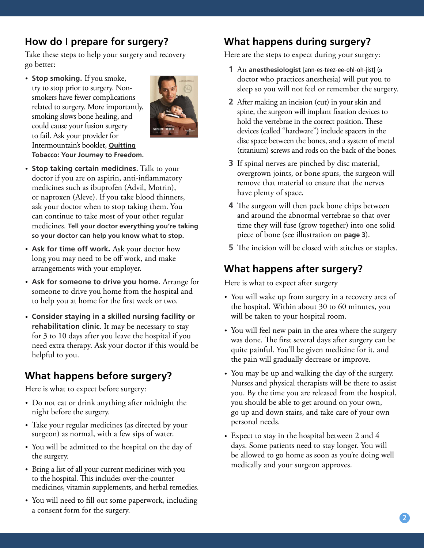# **How do I prepare for surgery?**

Take these steps to help your surgery and recovery go better:

• **Stop smoking.** If you smoke, try to stop prior to surgery. Nonsmokers have fewer complications related to surgery. More importantly, smoking slows bone healing, and could cause your fusion surgery to fail. Ask your provider for Intermountain's booklet, **[Quitting](http://intermountainhealthcare.org/ckr-ext/Dcmnt?ncid=51062043) [Tobacco: Your Journey to](http://intermountainhealthcare.org/ckr-ext/Dcmnt?ncid=51062043) Freedom.**



- **Stop taking certain medicines.** Talk to your doctor if you are on aspirin, anti-inflammatory medicines such as ibuprofen (Advil, Motrin), or naproxen (Aleve). If you take blood thinners, ask your doctor when to stop taking them. You can continue to take most of your other regular medicines. **Tell your doctor everything you're taking so your doctor can help you know what to stop.**
- **Ask for time off work**. Ask your doctor how long you may need to be off work, and make arrangements with your employer.
- **Ask for someone to drive you home.** Arrange for someone to drive you home from the hospital and to help you at home for the first week or two.
- **Consider staying in a skilled nursing facility or rehabilitation clinic.** It may be necessary to stay for 3 to 10 days after you leave the hospital if you need extra therapy. Ask your doctor if this would be helpful to you.

# **What happens before surgery?**

Here is what to expect before surgery:

- Do not eat or drink anything after midnight the night before the surgery.
- Take your regular medicines (as directed by your surgeon) as normal, with a few sips of water.
- You will be admitted to the hospital on the day of the surgery.
- Bring a list of all your current medicines with you to the hospital. This includes over-the-counter medicines, vitamin supplements, and herbal remedies.
- You will need to fill out some paperwork, including a consent form for the surgery.

# **What happens during surgery?**

Here are the steps to expect during your surgery:

- **1** An **anesthesiologist** [ann-es-teez-ee-ohl-oh-jist] (a doctor who practices anesthesia) will put you to sleep so you will not feel or remember the surgery.
- **2** After making an incision (cut) in your skin and spine, the surgeon will implant fixation devices to hold the vertebrae in the correct position. These devices (called "hardware") include spacers in the disc space between the bones, and a system of metal (titanium) screws and rods on the back of the bones.
- **3** If spinal nerves are pinched by disc material, overgrown joints, or bone spurs, the surgeon will remove that material to ensure that the nerves have plenty of space.
- **4** The surgeon will then pack bone chips between and around the abnormal vertebrae so that over time they will fuse (grow together) into one solid piece of bone (see illustration on **page 3**).
- **5** The incision will be closed with stitches or staples.

# **What happens after surgery?**

Here is what to expect after surgery

- You will wake up from surgery in a recovery area of the hospital. Within about 30 to 60 minutes, you will be taken to your hospital room.
- You will feel new pain in the area where the surgery was done. The first several days after surgery can be quite painful. You'll be given medicine for it, and the pain will gradually decrease or improve.
- You may be up and walking the day of the surgery. Nurses and physical therapists will be there to assist you. By the time you are released from the hospital, you should be able to get around on your own, go up and down stairs, and take care of your own personal needs.
- Expect to stay in the hospital between 2 and 4 days. Some patients need to stay longer. You will be allowed to go home as soon as you're doing well medically and your surgeon approves.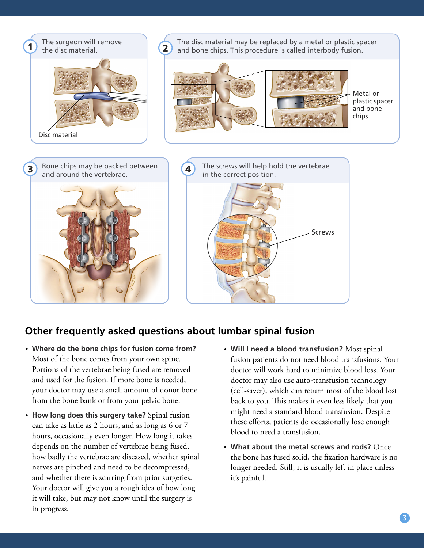

#### **Other frequently asked questions about lumbar spinal fusion**

- **Where do the bone chips for fusion come from?**  Most of the bone comes from your own spine. Portions of the vertebrae being fused are removed and used for the fusion. If more bone is needed, your doctor may use a small amount of donor bone from the bone bank or from your pelvic bone.
- **How long does this surgery take?** Spinal fusion can take as little as 2 hours, and as long as 6 or 7 hours, occasionally even longer. How long it takes depends on the number of vertebrae being fused, how badly the vertebrae are diseased, whether spinal nerves are pinched and need to be decompressed, and whether there is scarring from prior surgeries. Your doctor will give you a rough idea of how long it will take, but may not know until the surgery is in progress.
- **Will I need a blood transfusion?** Most spinal fusion patients do not need blood transfusions. Your doctor will work hard to minimize blood loss. Your doctor may also use auto-transfusion technology (cell-saver), which can return most of the blood lost back to you. This makes it even less likely that you might need a standard blood transfusion. Despite these efforts, patients do occasionally lose enough blood to need a transfusion.
- **What about the metal screws and rods?** Once the bone has fused solid, the fixation hardware is no longer needed. Still, it is usually left in place unless it's painful.